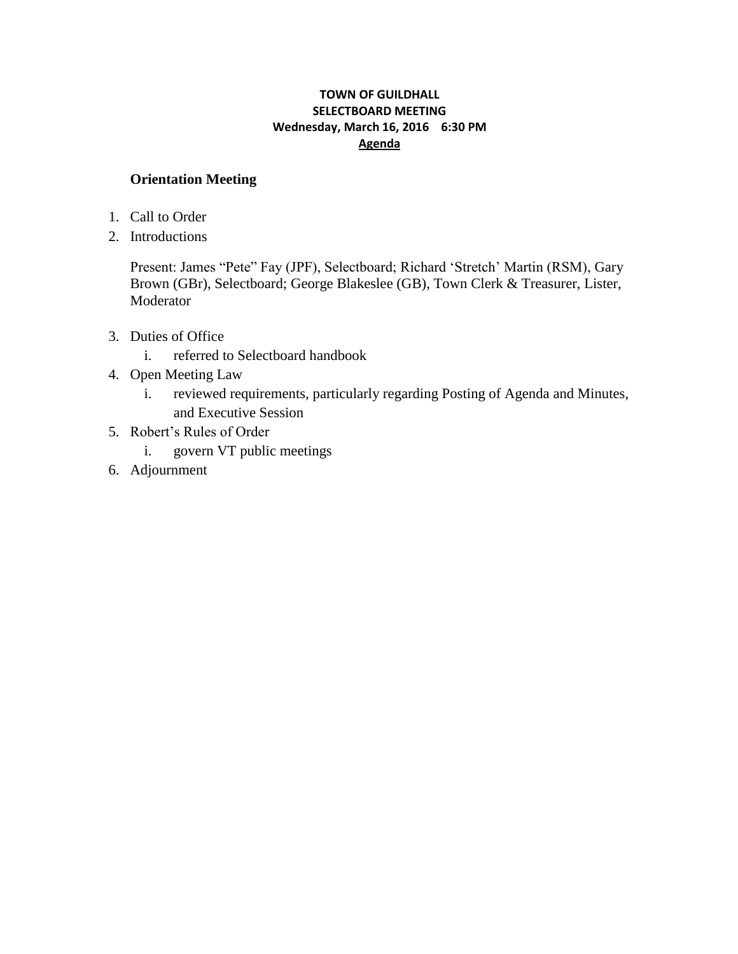# **TOWN OF GUILDHALL SELECTBOARD MEETING Wednesday, March 16, 2016 6:30 PM Agenda**

# **Orientation Meeting**

- 1. Call to Order
- 2. Introductions

Present: James "Pete" Fay (JPF), Selectboard; Richard "Stretch" Martin (RSM), Gary Brown (GBr), Selectboard; George Blakeslee (GB), Town Clerk & Treasurer, Lister, Moderator

- 3. Duties of Office
	- i. referred to Selectboard handbook
- 4. Open Meeting Law
	- i. reviewed requirements, particularly regarding Posting of Agenda and Minutes, and Executive Session
- 5. Robert"s Rules of Order
	- i. govern VT public meetings
- 6. Adjournment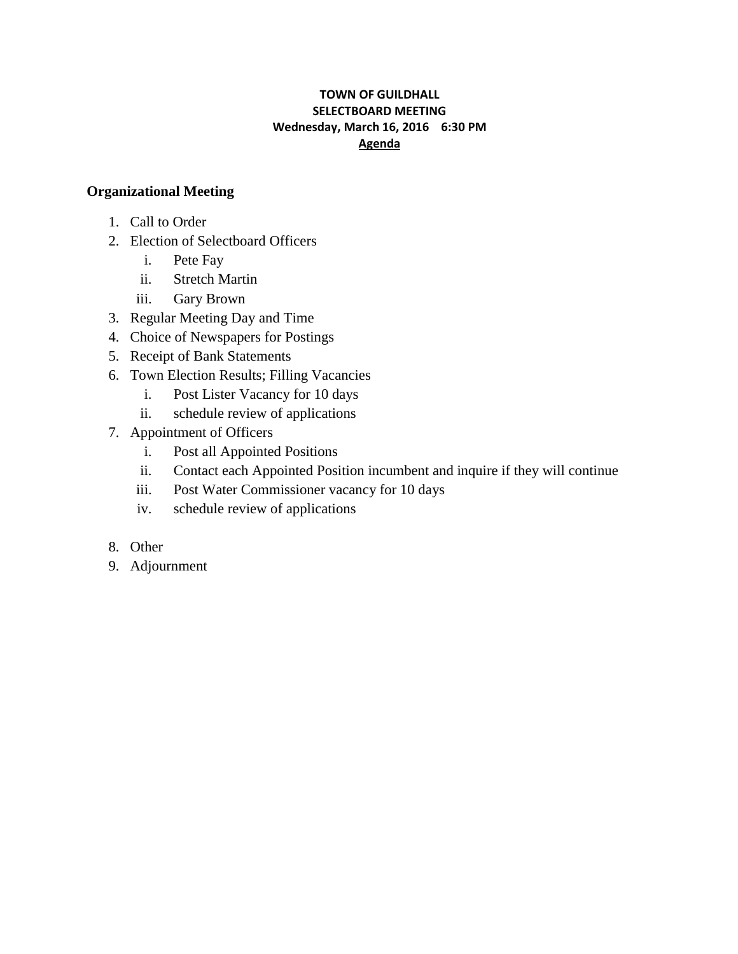# **TOWN OF GUILDHALL SELECTBOARD MEETING Wednesday, March 16, 2016 6:30 PM Agenda**

# **Organizational Meeting**

- 1. Call to Order
- 2. Election of Selectboard Officers
	- i. Pete Fay
	- ii. Stretch Martin
	- iii. Gary Brown
- 3. Regular Meeting Day and Time
- 4. Choice of Newspapers for Postings
- 5. Receipt of Bank Statements
- 6. Town Election Results; Filling Vacancies
	- i. Post Lister Vacancy for 10 days
	- ii. schedule review of applications
- 7. Appointment of Officers
	- i. Post all Appointed Positions
	- ii. Contact each Appointed Position incumbent and inquire if they will continue
	- iii. Post Water Commissioner vacancy for 10 days
	- iv. schedule review of applications
- 8. Other
- 9. Adjournment